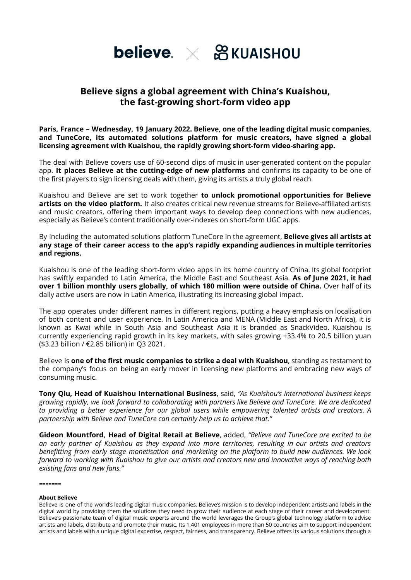

# **Believe signs a global agreement with China's Kuaishou, the fast-growing short-form video app**

**Paris, France – Wednesday, 19 January 2022. Believe, one of the leading digital music companies, and TuneCore, its automated solutions platform for music creators, have signed a global licensing agreement with Kuaishou, the rapidly growing short-form video-sharing app.**

The deal with Believe covers use of 60-second clips of music in user-generated content on the popular app. **It places Believe at the cutting-edge of new platforms** and confirms its capacity to be one of the first players to sign licensing deals with them, giving its artists a truly global reach.

Kuaishou and Believe are set to work together **to unlock promotional opportunities for Believe artists on the video platform.** It also creates critical new revenue streams for Believe-affiliated artists and music creators, offering them important ways to develop deep connections with new audiences, especially as Believe's content traditionally over-indexes on short-form UGC apps.

By including the automated solutions platform TuneCore in the agreement, **Believe gives all artists at any stage of their career access to the app's rapidly expanding audiences in multiple territories and regions.**

Kuaishou is one of the leading short-form video apps in its home country of China. Its global footprint has swiftly expanded to Latin America, the Middle East and Southeast Asia. **As of June 2021, it had over 1 billion monthly users globally, of which 180 million were outside of China.** Over half of its daily active users are now in Latin America, illustrating its increasing global impact.

The app operates under different names in different regions, putting a heavy emphasis on localisation of both content and user experience. In Latin America and MENA (Middle East and North Africa), it is known as Kwai while in South Asia and Southeast Asia it is branded as SnackVideo. Kuaishou is currently experiencing rapid growth in its key markets, with sales growing +33.4% to 20.5 billion yuan (\$3.23 billion / €2.85 billion) in Q3 2021.

Believe is **one of the first music companies to strike a deal with Kuaishou**, standing as testament to the company's focus on being an early mover in licensing new platforms and embracing new ways of consuming music.

**Tony Qiu, Head of Kuaishou International Business**, said, *"As Kuaishou's international business keeps growing rapidly, we look forward to collaborating with partners like Believe and TuneCore. We are dedicated to providing a better experience for our global users while empowering talented artists and creators. A partnership with Believe and TuneCore can certainly help us to achieve that."*

**Gideon Mountford, Head of Digital Retail at Believe**, added, *"Believe and TuneCore are excited to be an early partner of Kuaishou as they expand into more territories, resulting in our artists and creators benefitting from early stage monetisation and marketing on the platform to build new audiences. We look* forward to working with Kuaishou to give our artists and creators new and innovative wavs of reaching both *existing fans and new fans."*

 $=$ 

## **About Believe**

Believe is one of the world's leading digital music companies. Believe's mission is to develop independent artists and labels in the digital world by providing them the solutions they need to grow their audience at each stage of their career and development. Believe's passionate team of digital music experts around the world leverages the Group's global technology platform to advise artists and labels, distribute and promote their music. Its 1,401 employees in more than 50 countries aim to support independent artists and labels with a unique digital expertise, respect, fairness, and transparency. Believe offers its various solutions through a